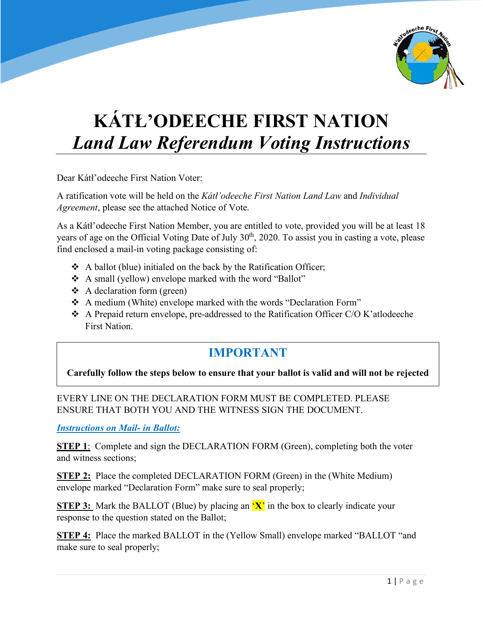

## **KÁTŁ'ODEECHE FIRST NATION** *Land Law Referendum Voting Instructions*

Dear Kátł'odeeche First Nation Voter:

A ratification vote will be held on the *Kátł'odeeche First Nation Land Law* and *Individual Agreement*, please see the attached Notice of Vote.

As a Kátł'odeeche First Nation Member, you are entitled to vote, provided you will be at least 18 years of age on the Official Voting Date of July 30<sup>th</sup>, 2020. To assist you in casting a vote, please find enclosed a mail-in voting package consisting of:

- $\triangle$  A ballot (blue) initialed on the back by the Ratification Officer;
- A small (yellow) envelope marked with the word "Ballot"
- $\triangleleft$  A declaration form (green)
- \* A medium (White) envelope marked with the words "Declaration Form"
- A Prepaid return envelope, pre-addressed to the Ratification Officer C/O K'atlodeeche First Nation.

## **IMPORTANT**

## **Carefully follow the steps below to ensure that your ballot is valid and will not be rejected**

EVERY LINE ON THE DECLARATION FORM MUST BE COMPLETED. PLEASE ENSURE THAT BOTH YOU AND THE WITNESS SIGN THE DOCUMENT.

*Instructions on Mail- in Ballot:*

**STEP 1**: Complete and sign the DECLARATION FORM (Green), completing both the voter and witness sections;

**STEP 2:** Place the completed DECLARATION FORM (Green) in the (White Medium) envelope marked "Declaration Form" make sure to seal properly;

**STEP 3:** Mark the BALLOT (Blue) by placing an  $'X'$  in the box to clearly indicate your response to the question stated on the Ballot;

**STEP 4:** Place the marked BALLOT in the (Yellow Small) envelope marked "BALLOT "and make sure to seal properly;